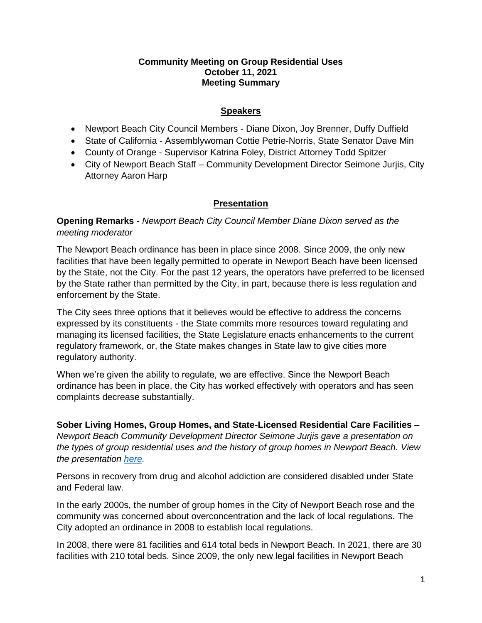### **Community Meeting on Group Residential Uses October 11, 2021 Meeting Summary**

### **Speakers**

- Newport Beach City Council Members Diane Dixon, Joy Brenner, Duffy Duffield
- State of California Assemblywoman Cottie Petrie-Norris, State Senator Dave Min
- County of Orange Supervisor Katrina Foley, District Attorney Todd Spitzer
- City of Newport Beach Staff Community Development Director Seimone Jurjis, City Attorney Aaron Harp

# **Presentation**

**Opening Remarks -** *Newport Beach City Council Member Diane Dixon served as the meeting moderator*

The Newport Beach ordinance has been in place since 2008. Since 2009, the only new facilities that have been legally permitted to operate in Newport Beach have been licensed by the State, not the City. For the past 12 years, the operators have preferred to be licensed by the State rather than permitted by the City, in part, because there is less regulation and enforcement by the State.

The City sees three options that it believes would be effective to address the concerns expressed by its constituents - the State commits more resources toward regulating and managing its licensed facilities, the State Legislature enacts enhancements to the current regulatory framework, or, the State makes changes in State law to give cities more regulatory authority.

When we're given the ability to regulate, we are effective. Since the Newport Beach ordinance has been in place, the City has worked effectively with operators and has seen complaints decrease substantially.

**Sober Living Homes, Group Homes, and State-Licensed Residential Care Facilities –** *Newport Beach Community Development Director Seimone Jurjis gave a presentation on the types of group residential uses and the history of group homes in Newport Beach. View the presentation [here.](https://www.newportbeachca.gov/home/showpublisheddocument/70744/637700694419670000)*

Persons in recovery from drug and alcohol addiction are considered disabled under State and Federal law.

In the early 2000s, the number of group homes in the City of Newport Beach rose and the community was concerned about overconcentration and the lack of local regulations. The City adopted an ordinance in 2008 to establish local regulations.

In 2008, there were 81 facilities and 614 total beds in Newport Beach. In 2021, there are 30 facilities with 210 total beds. Since 2009, the only new legal facilities in Newport Beach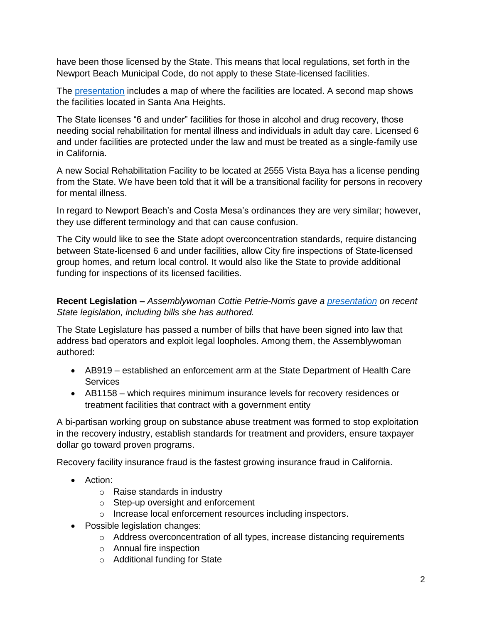have been those licensed by the State. This means that local regulations, set forth in the Newport Beach Municipal Code, do not apply to these State-licensed facilities.

The [presentation](https://www.newportbeachca.gov/home/showpublisheddocument/70744/637700694419670000) includes a map of where the facilities are located. A second map shows the facilities located in Santa Ana Heights.

The State licenses "6 and under" facilities for those in alcohol and drug recovery, those needing social rehabilitation for mental illness and individuals in adult day care. Licensed 6 and under facilities are protected under the law and must be treated as a single-family use in California.

A new Social Rehabilitation Facility to be located at 2555 Vista Baya has a license pending from the State. We have been told that it will be a transitional facility for persons in recovery for mental illness.

In regard to Newport Beach's and Costa Mesa's ordinances they are very similar; however, they use different terminology and that can cause confusion.

The City would like to see the State adopt overconcentration standards, require distancing between State-licensed 6 and under facilities, allow City fire inspections of State-licensed group homes, and return local control. It would also like the State to provide additional funding for inspections of its licensed facilities.

**Recent Legislation –** *Assemblywoman Cottie Petrie-Norris gave a [presentation](https://www.newportbeachca.gov/home/showpublisheddocument/70744/637700694419670000) on recent State legislation, including bills she has authored.*

The State Legislature has passed a number of bills that have been signed into law that address bad operators and exploit legal loopholes. Among them, the Assemblywoman authored:

- AB919 established an enforcement arm at the State Department of Health Care **Services**
- AB1158 which requires minimum insurance levels for recovery residences or treatment facilities that contract with a government entity

A bi-partisan working group on substance abuse treatment was formed to stop exploitation in the recovery industry, establish standards for treatment and providers, ensure taxpayer dollar go toward proven programs.

Recovery facility insurance fraud is the fastest growing insurance fraud in California.

- Action:
	- o Raise standards in industry
	- o Step-up oversight and enforcement
	- o Increase local enforcement resources including inspectors.
- Possible legislation changes:
	- o Address overconcentration of all types, increase distancing requirements
	- o Annual fire inspection
	- o Additional funding for State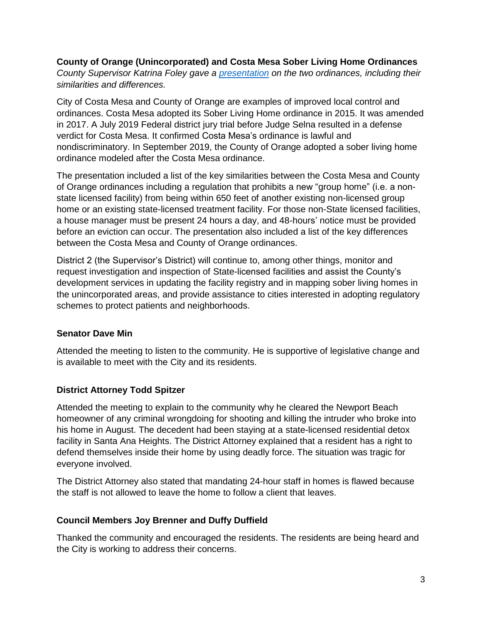**County of Orange (Unincorporated) and Costa Mesa Sober Living Home Ordinances** *County Supervisor Katrina Foley gave a [presentation](https://www.newportbeachca.gov/home/showpublisheddocument/70744/637700694419670000) on the two ordinances, including their similarities and differences.*

City of Costa Mesa and County of Orange are examples of improved local control and ordinances. Costa Mesa adopted its Sober Living Home ordinance in 2015. It was amended in 2017. A July 2019 Federal district jury trial before Judge Selna resulted in a defense verdict for Costa Mesa. It confirmed Costa Mesa's ordinance is lawful and nondiscriminatory. In September 2019, the County of Orange adopted a sober living home ordinance modeled after the Costa Mesa ordinance.

The presentation included a list of the key similarities between the Costa Mesa and County of Orange ordinances including a regulation that prohibits a new "group home" (i.e. a nonstate licensed facility) from being within 650 feet of another existing non-licensed group home or an existing state-licensed treatment facility. For those non-State licensed facilities, a house manager must be present 24 hours a day, and 48-hours' notice must be provided before an eviction can occur. The presentation also included a list of the key differences between the Costa Mesa and County of Orange ordinances.

District 2 (the Supervisor's District) will continue to, among other things, monitor and request investigation and inspection of State-licensed facilities and assist the County's development services in updating the facility registry and in mapping sober living homes in the unincorporated areas, and provide assistance to cities interested in adopting regulatory schemes to protect patients and neighborhoods.

# **Senator Dave Min**

Attended the meeting to listen to the community. He is supportive of legislative change and is available to meet with the City and its residents.

# **District Attorney Todd Spitzer**

Attended the meeting to explain to the community why he cleared the Newport Beach homeowner of any criminal wrongdoing for shooting and killing the intruder who broke into his home in August. The decedent had been staying at a state-licensed residential detox facility in Santa Ana Heights. The District Attorney explained that a resident has a right to defend themselves inside their home by using deadly force. The situation was tragic for everyone involved.

The District Attorney also stated that mandating 24-hour staff in homes is flawed because the staff is not allowed to leave the home to follow a client that leaves.

# **Council Members Joy Brenner and Duffy Duffield**

Thanked the community and encouraged the residents. The residents are being heard and the City is working to address their concerns.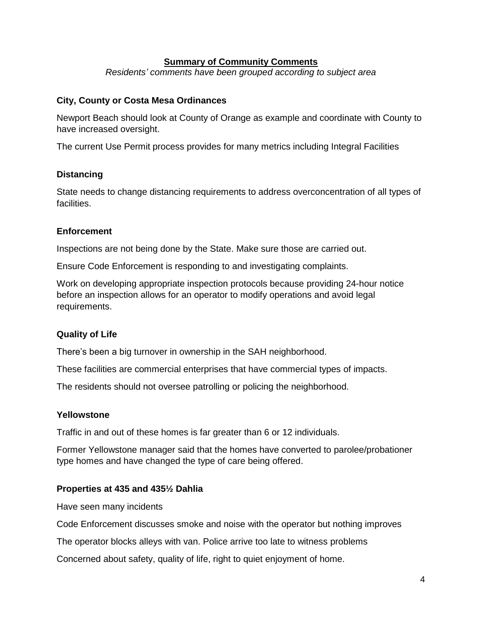### **Summary of Community Comments**

*Residents' comments have been grouped according to subject area*

### **City, County or Costa Mesa Ordinances**

Newport Beach should look at County of Orange as example and coordinate with County to have increased oversight.

The current Use Permit process provides for many metrics including Integral Facilities

### **Distancing**

State needs to change distancing requirements to address overconcentration of all types of facilities.

### **Enforcement**

Inspections are not being done by the State. Make sure those are carried out.

Ensure Code Enforcement is responding to and investigating complaints.

Work on developing appropriate inspection protocols because providing 24-hour notice before an inspection allows for an operator to modify operations and avoid legal requirements.

# **Quality of Life**

There's been a big turnover in ownership in the SAH neighborhood.

These facilities are commercial enterprises that have commercial types of impacts.

The residents should not oversee patrolling or policing the neighborhood.

#### **Yellowstone**

Traffic in and out of these homes is far greater than 6 or 12 individuals.

Former Yellowstone manager said that the homes have converted to parolee/probationer type homes and have changed the type of care being offered.

#### **Properties at 435 and 435½ Dahlia**

Have seen many incidents

Code Enforcement discusses smoke and noise with the operator but nothing improves

The operator blocks alleys with van. Police arrive too late to witness problems

Concerned about safety, quality of life, right to quiet enjoyment of home.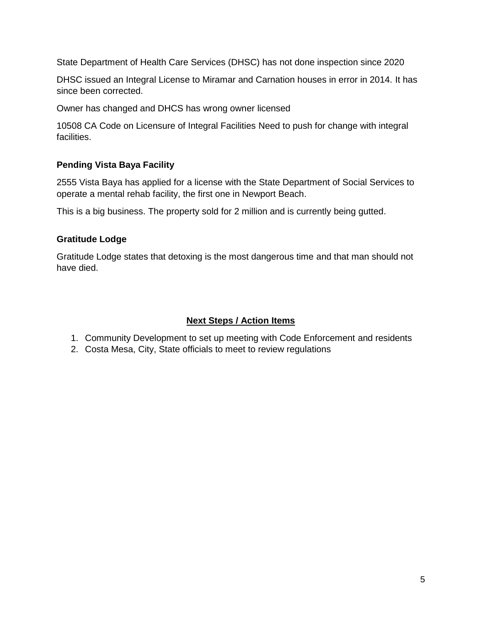State Department of Health Care Services (DHSC) has not done inspection since 2020

DHSC issued an Integral License to Miramar and Carnation houses in error in 2014. It has since been corrected.

Owner has changed and DHCS has wrong owner licensed

10508 CA Code on Licensure of Integral Facilities Need to push for change with integral facilities.

# **Pending Vista Baya Facility**

2555 Vista Baya has applied for a license with the State Department of Social Services to operate a mental rehab facility, the first one in Newport Beach.

This is a big business. The property sold for 2 million and is currently being gutted.

# **Gratitude Lodge**

Gratitude Lodge states that detoxing is the most dangerous time and that man should not have died.

# **Next Steps / Action Items**

- 1. Community Development to set up meeting with Code Enforcement and residents
- 2. Costa Mesa, City, State officials to meet to review regulations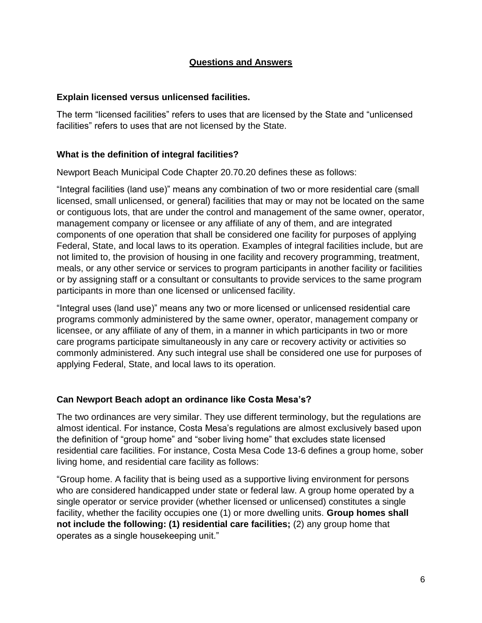### **Questions and Answers**

### **Explain licensed versus unlicensed facilities.**

The term "licensed facilities" refers to uses that are licensed by the State and "unlicensed facilities" refers to uses that are not licensed by the State.

#### **What is the definition of integral facilities?**

Newport Beach Municipal Code Chapter 20.70.20 defines these as follows:

"Integral facilities (land use)" means any combination of two or more residential care (small licensed, small unlicensed, or general) facilities that may or may not be located on the same or contiguous lots, that are under the control and management of the same owner, operator, management company or licensee or any affiliate of any of them, and are integrated components of one operation that shall be considered one facility for purposes of applying Federal, State, and local laws to its operation. Examples of integral facilities include, but are not limited to, the provision of housing in one facility and recovery programming, treatment, meals, or any other service or services to program participants in another facility or facilities or by assigning staff or a consultant or consultants to provide services to the same program participants in more than one licensed or unlicensed facility.

"Integral uses (land use)" means any two or more licensed or unlicensed residential care programs commonly administered by the same owner, operator, management company or licensee, or any affiliate of any of them, in a manner in which participants in two or more care programs participate simultaneously in any care or recovery activity or activities so commonly administered. Any such integral use shall be considered one use for purposes of applying Federal, State, and local laws to its operation.

# **Can Newport Beach adopt an ordinance like Costa Mesa's?**

The two ordinances are very similar. They use different terminology, but the regulations are almost identical. For instance, Costa Mesa's regulations are almost exclusively based upon the definition of "group home" and "sober living home" that excludes state licensed residential care facilities. For instance, Costa Mesa Code 13-6 defines a group home, sober living home, and residential care facility as follows:

"Group home. A facility that is being used as a supportive living environment for persons who are considered handicapped under state or federal law. A group home operated by a single operator or service provider (whether licensed or unlicensed) constitutes a single facility, whether the facility occupies one (1) or more dwelling units. **Group homes shall not include the following: (1) residential care facilities;** (2) any group home that operates as a single housekeeping unit."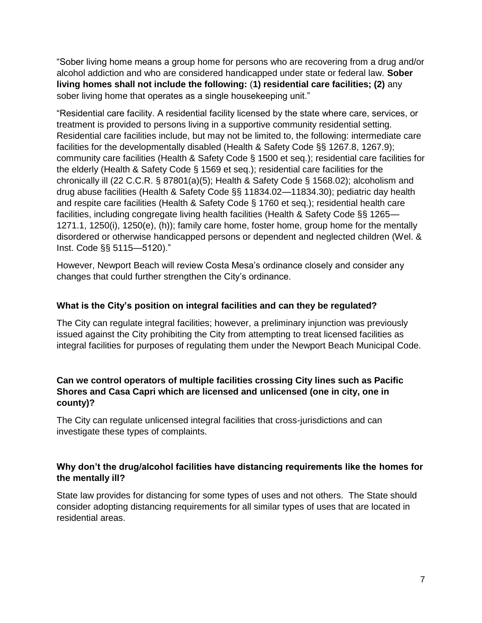"Sober living home means a group home for persons who are recovering from a drug and/or alcohol addiction and who are considered handicapped under state or federal law. **Sober living homes shall not include the following:** (**1) residential care facilities; (2)** any sober living home that operates as a single housekeeping unit."

"Residential care facility. A residential facility licensed by the state where care, services, or treatment is provided to persons living in a supportive community residential setting. Residential care facilities include, but may not be limited to, the following: intermediate care facilities for the developmentally disabled (Health & Safety Code §§ 1267.8, 1267.9); community care facilities (Health & Safety Code § 1500 et seq.); residential care facilities for the elderly (Health & Safety Code § 1569 et seq.); residential care facilities for the chronically ill (22 C.C.R. § 87801(a)(5); Health & Safety Code § 1568.02); alcoholism and drug abuse facilities (Health & Safety Code §§ 11834.02—11834.30); pediatric day health and respite care facilities (Health & Safety Code § 1760 et seq.); residential health care facilities, including congregate living health facilities (Health & Safety Code §§ 1265— 1271.1, 1250(i), 1250(e), (h)); family care home, foster home, group home for the mentally disordered or otherwise handicapped persons or dependent and neglected children (Wel. & Inst. Code §§ 5115—5120)."

However, Newport Beach will review Costa Mesa's ordinance closely and consider any changes that could further strengthen the City's ordinance.

# **What is the City's position on integral facilities and can they be regulated?**

The City can regulate integral facilities; however, a preliminary injunction was previously issued against the City prohibiting the City from attempting to treat licensed facilities as integral facilities for purposes of regulating them under the Newport Beach Municipal Code.

# **Can we control operators of multiple facilities crossing City lines such as Pacific Shores and Casa Capri which are licensed and unlicensed (one in city, one in county)?**

The City can regulate unlicensed integral facilities that cross-jurisdictions and can investigate these types of complaints.

# **Why don't the drug/alcohol facilities have distancing requirements like the homes for the mentally ill?**

State law provides for distancing for some types of uses and not others. The State should consider adopting distancing requirements for all similar types of uses that are located in residential areas.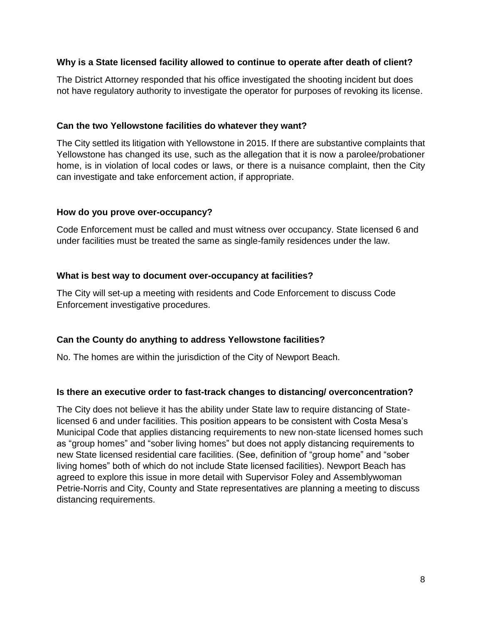### **Why is a State licensed facility allowed to continue to operate after death of client?**

The District Attorney responded that his office investigated the shooting incident but does not have regulatory authority to investigate the operator for purposes of revoking its license.

### **Can the two Yellowstone facilities do whatever they want?**

The City settled its litigation with Yellowstone in 2015. If there are substantive complaints that Yellowstone has changed its use, such as the allegation that it is now a parolee/probationer home, is in violation of local codes or laws, or there is a nuisance complaint, then the City can investigate and take enforcement action, if appropriate.

#### **How do you prove over-occupancy?**

Code Enforcement must be called and must witness over occupancy. State licensed 6 and under facilities must be treated the same as single-family residences under the law.

### **What is best way to document over-occupancy at facilities?**

The City will set-up a meeting with residents and Code Enforcement to discuss Code Enforcement investigative procedures.

# **Can the County do anything to address Yellowstone facilities?**

No. The homes are within the jurisdiction of the City of Newport Beach.

#### **Is there an executive order to fast-track changes to distancing/ overconcentration?**

The City does not believe it has the ability under State law to require distancing of Statelicensed 6 and under facilities. This position appears to be consistent with Costa Mesa's Municipal Code that applies distancing requirements to new non-state licensed homes such as "group homes" and "sober living homes" but does not apply distancing requirements to new State licensed residential care facilities. (See, definition of "group home" and "sober living homes" both of which do not include State licensed facilities). Newport Beach has agreed to explore this issue in more detail with Supervisor Foley and Assemblywoman Petrie-Norris and City, County and State representatives are planning a meeting to discuss distancing requirements.